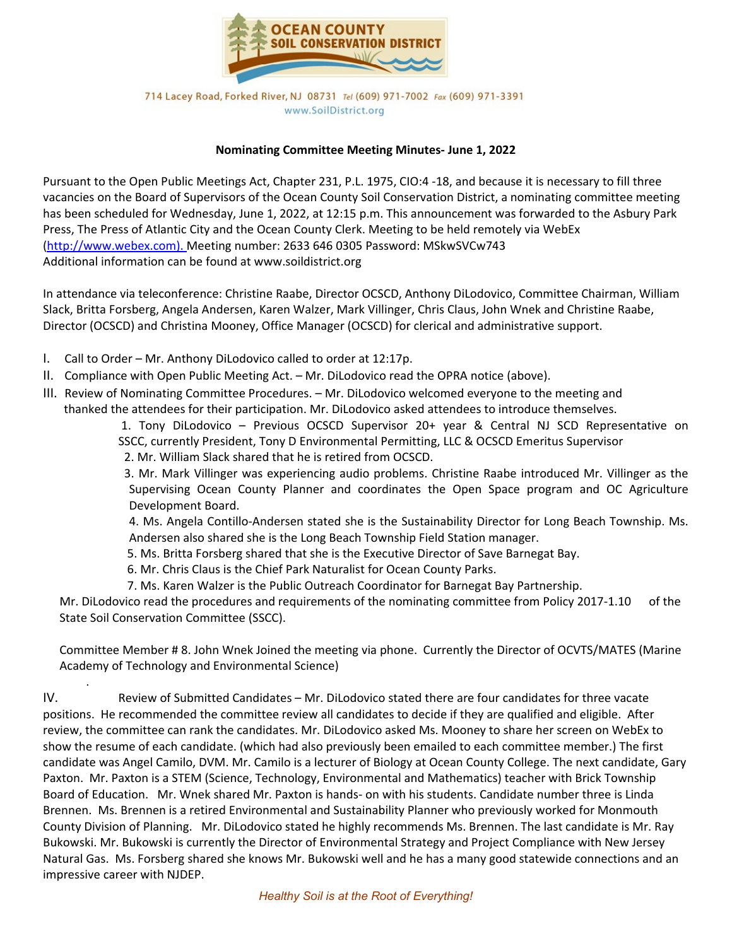

714 Lacey Road, Forked River, NJ 08731 Tel (609) 971-7002 Fax (609) 971-3391 www.SoilDistrict.org

#### **Nominating Committee Meeting Minutes- June 1, 2022**

Pursuant to the Open Public Meetings Act, Chapter 231, P.L. 1975, CIO:4 -18, and because it is necessary to fill three vacancies on the Board of Supervisors of the Ocean County Soil Conservation District, a nominating committee meeting has been scheduled for Wednesday, June 1, 2022, at 12:15 p.m. This announcement was forwarded to the Asbury Park Press, The Press of Atlantic City and the Ocean County Clerk. Meeting to be held remotely via WebEx [\(http://www.webex.com\)](http://www.webex.com/). Meeting number: 2633 646 0305 Password: MSkwSVCw743 Additional information can be found at www.soildistrict.org

In attendance via teleconference: Christine Raabe, Director OCSCD, Anthony DiLodovico, Committee Chairman, William Slack, Britta Forsberg, Angela Andersen, Karen Walzer, Mark Villinger, Chris Claus, John Wnek and Christine Raabe, Director (OCSCD) and Christina Mooney, Office Manager (OCSCD) for clerical and administrative support.

I. Call to Order – Mr. Anthony DiLodovico called to order at 12:17p.

.

- II. Compliance with Open Public Meeting Act. Mr. DiLodovico read the OPRA notice (above).
- III. Review of Nominating Committee Procedures. Mr. DiLodovico welcomed everyone to the meeting and

thanked the attendees for their participation. Mr. DiLodovico asked attendees to introduce themselves.

1. Tony DiLodovico – Previous OCSCD Supervisor 20+ year & Central NJ SCD Representative on SSCC, currently President, Tony D Environmental Permitting, LLC & OCSCD Emeritus Supervisor

2. Mr. William Slack shared that he is retired from OCSCD.

3. Mr. Mark Villinger was experiencing audio problems. Christine Raabe introduced Mr. Villinger as the Supervising Ocean County Planner and coordinates the Open Space program and OC Agriculture Development Board.

4. Ms. Angela Contillo-Andersen stated she is the Sustainability Director for Long Beach Township. Ms. Andersen also shared she is the Long Beach Township Field Station manager.

- 5. Ms. Britta Forsberg shared that she is the Executive Director of Save Barnegat Bay.
- 6. Mr. Chris Claus is the Chief Park Naturalist for Ocean County Parks.
- 7. Ms. Karen Walzer is the Public Outreach Coordinator for Barnegat Bay Partnership.

Mr. DiLodovico read the procedures and requirements of the nominating committee from Policy 2017-1.10 of the State Soil Conservation Committee (SSCC).

Committee Member # 8. John Wnek Joined the meeting via phone. Currently the Director of OCVTS/MATES (Marine Academy of Technology and Environmental Science)

IV. Review of Submitted Candidates – Mr. DiLodovico stated there are four candidates for three vacate positions. He recommended the committee review all candidates to decide if they are qualified and eligible. After review, the committee can rank the candidates. Mr. DiLodovico asked Ms. Mooney to share her screen on WebEx to show the resume of each candidate. (which had also previously been emailed to each committee member.) The first candidate was Angel Camilo, DVM. Mr. Camilo is a lecturer of Biology at Ocean County College. The next candidate, Gary Paxton. Mr. Paxton is a STEM (Science, Technology, Environmental and Mathematics) teacher with Brick Township Board of Education. Mr. Wnek shared Mr. Paxton is hands- on with his students. Candidate number three is Linda Brennen. Ms. Brennen is a retired Environmental and Sustainability Planner who previously worked for Monmouth County Division of Planning. Mr. DiLodovico stated he highly recommends Ms. Brennen. The last candidate is Mr. Ray Bukowski. Mr. Bukowski is currently the Director of Environmental Strategy and Project Compliance with New Jersey Natural Gas. Ms. Forsberg shared she knows Mr. Bukowski well and he has a many good statewide connections and an impressive career with NJDEP.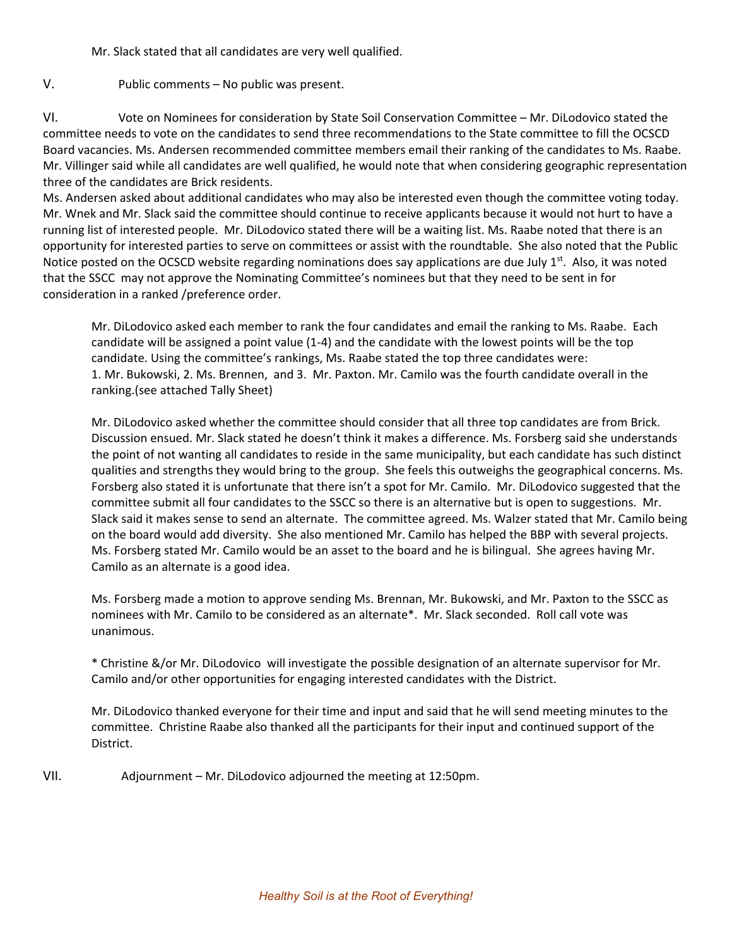Mr. Slack stated that all candidates are very well qualified.

V. Public comments – No public was present.

VI. Vote on Nominees for consideration by State Soil Conservation Committee – Mr. DiLodovico stated the committee needs to vote on the candidates to send three recommendations to the State committee to fill the OCSCD Board vacancies. Ms. Andersen recommended committee members email their ranking of the candidates to Ms. Raabe. Mr. Villinger said while all candidates are well qualified, he would note that when considering geographic representation three of the candidates are Brick residents.

Ms. Andersen asked about additional candidates who may also be interested even though the committee voting today. Mr. Wnek and Mr. Slack said the committee should continue to receive applicants because it would not hurt to have a running list of interested people. Mr. DiLodovico stated there will be a waiting list. Ms. Raabe noted that there is an opportunity for interested parties to serve on committees or assist with the roundtable. She also noted that the Public Notice posted on the OCSCD website regarding nominations does say applications are due July  $1^{st}$ . Also, it was noted that the SSCC may not approve the Nominating Committee's nominees but that they need to be sent in for consideration in a ranked /preference order.

Mr. DiLodovico asked each member to rank the four candidates and email the ranking to Ms. Raabe. Each candidate will be assigned a point value (1-4) and the candidate with the lowest points will be the top candidate. Using the committee's rankings, Ms. Raabe stated the top three candidates were: 1. Mr. Bukowski, 2. Ms. Brennen, and 3. Mr. Paxton. Mr. Camilo was the fourth candidate overall in the ranking.(see attached Tally Sheet)

Mr. DiLodovico asked whether the committee should consider that all three top candidates are from Brick. Discussion ensued. Mr. Slack stated he doesn't think it makes a difference. Ms. Forsberg said she understands the point of not wanting all candidates to reside in the same municipality, but each candidate has such distinct qualities and strengths they would bring to the group. She feels this outweighs the geographical concerns. Ms. Forsberg also stated it is unfortunate that there isn't a spot for Mr. Camilo. Mr. DiLodovico suggested that the committee submit all four candidates to the SSCC so there is an alternative but is open to suggestions. Mr. Slack said it makes sense to send an alternate. The committee agreed. Ms. Walzer stated that Mr. Camilo being on the board would add diversity. She also mentioned Mr. Camilo has helped the BBP with several projects. Ms. Forsberg stated Mr. Camilo would be an asset to the board and he is bilingual. She agrees having Mr. Camilo as an alternate is a good idea.

Ms. Forsberg made a motion to approve sending Ms. Brennan, Mr. Bukowski, and Mr. Paxton to the SSCC as nominees with Mr. Camilo to be considered as an alternate\*. Mr. Slack seconded. Roll call vote was unanimous.

\* Christine &/or Mr. DiLodovico will investigate the possible designation of an alternate supervisor for Mr. Camilo and/or other opportunities for engaging interested candidates with the District.

Mr. DiLodovico thanked everyone for their time and input and said that he will send meeting minutes to the committee. Christine Raabe also thanked all the participants for their input and continued support of the District.

VII. Adjournment – Mr. DiLodovico adjourned the meeting at 12:50pm.